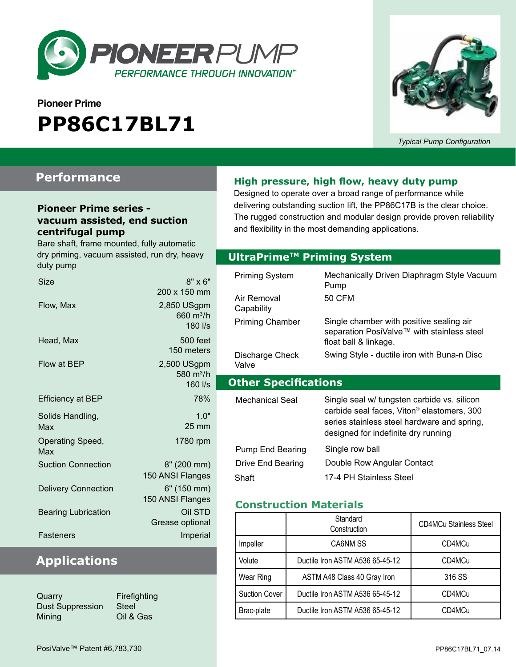

# **Pioneer Prime PP86C17BL71**



*Typical Pump Configuration*

### **Performance**

#### **Pioneer Prime series vacuum assisted, end suction centrifugal pump**

Bare shaft, frame mounted, fully automatic dry priming, vacuum assisted, run dry, heavy duty pump

| Size                       | $8" \times 6"$                                  |
|----------------------------|-------------------------------------------------|
|                            | 200 x 150 mm                                    |
| Flow, Max                  | 2,850 USgpm<br>660 m <sup>3</sup> /h<br>180 l/s |
| Head, Max                  | 500 feet<br>150 meters                          |
| Flow at BEP                | 2,500 USgpm<br>580 $m^3/h$<br>160 l/s           |
| <b>Efficiency at BEP</b>   | 78%                                             |
| Solids Handling,<br>Max    | 1.0"<br><b>25 mm</b>                            |
| Operating Speed,<br>Max    | 1780 rpm                                        |
| <b>Suction Connection</b>  | 8" (200 mm)<br>150 ANSI Flanges                 |
| <b>Delivery Connection</b> | 6" (150 mm)<br>150 ANSI Flanges                 |
| <b>Bearing Lubrication</b> | Oil STD<br>Grease optional                      |
| Fasteners                  | Imperial                                        |

### **Applications**

| Quarry                  | Firefighting |
|-------------------------|--------------|
| <b>Dust Suppression</b> | Steel        |
| Mining                  | Oil & Gas    |

**High pressure, high flow, heavy duty pump**

Designed to operate over a broad range of performance while delivering outstanding suction lift, the PP86C17B is the clear choice. The rugged construction and modular design provide proven reliability and flexibility in the most demanding applications.

#### **Optional Priming System UltraPrimeTM Priming System**

| <b>Priming System</b><br>Air Removal<br>Capability | Mechanically Driven Diaphragm Style Vacuum<br>Pump<br>50 CFM                                                                                                                                |
|----------------------------------------------------|---------------------------------------------------------------------------------------------------------------------------------------------------------------------------------------------|
| <b>Priming Chamber</b>                             | Single chamber with positive sealing air<br>separation PosiValve™ with stainless steel<br>float ball & linkage.                                                                             |
| Discharge Check<br>Valve                           | Swing Style - ductile iron with Buna-n Disc                                                                                                                                                 |
|                                                    |                                                                                                                                                                                             |
| <b>Other Specifications</b>                        |                                                                                                                                                                                             |
| Mechanical Seal                                    | Single seal w/ tungsten carbide vs. silicon<br>carbide seal faces, Viton <sup>®</sup> elastomers, 300<br>series stainless steel hardware and spring,<br>designed for indefinite dry running |
| Pump End Bearing<br>Drive End Bearing<br>Shaft     | Single row ball<br>Double Row Angular Contact<br>17-4 PH Stainless Steel                                                                                                                    |

#### **Construction Materials**

|                      | Standard<br>Construction        | <b>CD4MCu Stainless Steel</b> |
|----------------------|---------------------------------|-------------------------------|
| Impeller             | CA6NM SS                        | CD4MCu                        |
| Volute               | Ductile Iron ASTM A536 65-45-12 | CD4MCu                        |
| Wear Ring            | ASTM A48 Class 40 Gray Iron     | 316 SS                        |
| <b>Suction Cover</b> | Ductile Iron ASTM A536 65-45-12 | CD4MCu                        |
| Brac-plate           | Ductile Iron ASTM A536 65-45-12 | CD4MCu                        |